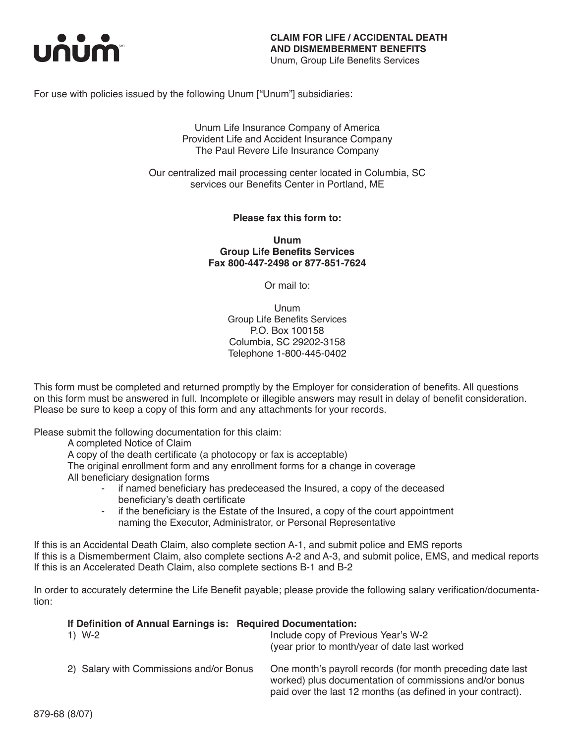

For use with policies issued by the following Unum ["Unum"] subsidiaries:

Unum Life Insurance Company of America Provident Life and Accident Insurance Company The Paul Revere Life Insurance Company

Our centralized mail processing center located in Columbia, SC services our Benefits Center in Portland, ME

**Please fax this form to:**

**Unum Group Life Benefits Services Fax 800-447-2498 or 877-851-7624**

Or mail to:

Unum Group Life Benefits Services P.O. Box 100158 Columbia, SC 29202-3158 Telephone 1-800-445-0402

This form must be completed and returned promptly by the Employer for consideration of benefits. All questions on this form must be answered in full. Incomplete or illegible answers may result in delay of benefit consideration. Please be sure to keep a copy of this form and any attachments for your records.

Please submit the following documentation for this claim:

A completed Notice of Claim

A copy of the death certificate (a photocopy or fax is acceptable)

The original enrollment form and any enrollment forms for a change in coverage All beneficiary designation forms

- if named beneficiary has predeceased the Insured, a copy of the deceased beneficiary's death certificate
- if the beneficiary is the Estate of the Insured, a copy of the court appointment naming the Executor, Administrator, or Personal Representative

If this is an Accidental Death Claim, also complete section A-1, and submit police and EMS reports If this is a Dismemberment Claim, also complete sections A-2 and A-3, and submit police, EMS, and medical reports If this is an Accelerated Death Claim, also complete sections B-1 and B-2

In order to accurately determine the Life Benefit payable; please provide the following salary verification/documentation:

> worked) plus documentation of commissions and/or bonus paid over the last 12 months (as defined in your contract).

| If Definition of Annual Earnings is: Required Documentation: |                                                                                       |  |  |
|--------------------------------------------------------------|---------------------------------------------------------------------------------------|--|--|
| 1) W-2                                                       | Include copy of Previous Year's W-2<br>(year prior to month/year of date last worked) |  |  |
| 2) Salary with Commissions and/or Bonus                      | One month's payroll records (for month preceding date last                            |  |  |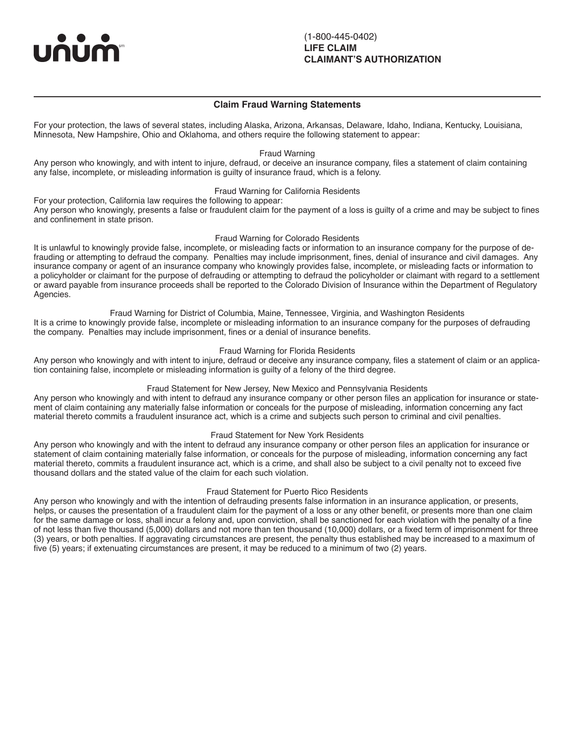unun

 $\overline{a}$ 

### **Claim Fraud Warning Statements**

For your protection, the laws of several states, including Alaska, Arizona, Arkansas, Delaware, Idaho, Indiana, Kentucky, Louisiana, Minnesota, New Hampshire, Ohio and Oklahoma, and others require the following statement to appear:

#### Fraud Warning

Any person who knowingly, and with intent to injure, defraud, or deceive an insurance company, files a statement of claim containing any false, incomplete, or misleading information is guilty of insurance fraud, which is a felony.

### Fraud Warning for California Residents

For your protection, California law requires the following to appear: Any person who knowingly, presents a false or fraudulent claim for the payment of a loss is guilty of a crime and may be subject to fines and confinement in state prison.

#### Fraud Warning for Colorado Residents

It is unlawful to knowingly provide false, incomplete, or misleading facts or information to an insurance company for the purpose of defrauding or attempting to defraud the company. Penalties may include imprisonment, fines, denial of insurance and civil damages. Any insurance company or agent of an insurance company who knowingly provides false, incomplete, or misleading facts or information to a policyholder or claimant for the purpose of defrauding or attempting to defraud the policyholder or claimant with regard to a settlement or award payable from insurance proceeds shall be reported to the Colorado Division of Insurance within the Department of Regulatory Agencies.

Fraud Warning for District of Columbia, Maine, Tennessee, Virginia, and Washington Residents It is a crime to knowingly provide false, incomplete or misleading information to an insurance company for the purposes of defrauding the company. Penalties may include imprisonment, fines or a denial of insurance benefits.

### Fraud Warning for Florida Residents

Any person who knowingly and with intent to injure, defraud or deceive any insurance company, files a statement of claim or an application containing false, incomplete or misleading information is guilty of a felony of the third degree.

### Fraud Statement for New Jersey, New Mexico and Pennsylvania Residents

Any person who knowingly and with intent to defraud any insurance company or other person files an application for insurance or statement of claim containing any materially false information or conceals for the purpose of misleading, information concerning any fact material thereto commits a fraudulent insurance act, which is a crime and subjects such person to criminal and civil penalties.

Fraud Statement for New York Residents

Any person who knowingly and with the intent to defraud any insurance company or other person files an application for insurance or statement of claim containing materially false information, or conceals for the purpose of misleading, information concerning any fact material thereto, commits a fraudulent insurance act, which is a crime, and shall also be subject to a civil penalty not to exceed five thousand dollars and the stated value of the claim for each such violation.

#### Fraud Statement for Puerto Rico Residents

Any person who knowingly and with the intention of defrauding presents false information in an insurance application, or presents, helps, or causes the presentation of a fraudulent claim for the payment of a loss or any other benefit, or presents more than one claim for the same damage or loss, shall incur a felony and, upon conviction, shall be sanctioned for each violation with the penalty of a fine of not less than five thousand (5,000) dollars and not more than ten thousand (10,000) dollars, or a fixed term of imprisonment for three (3) years, or both penalties. If aggravating circumstances are present, the penalty thus established may be increased to a maximum of five (5) years; if extenuating circumstances are present, it may be reduced to a minimum of two (2) years.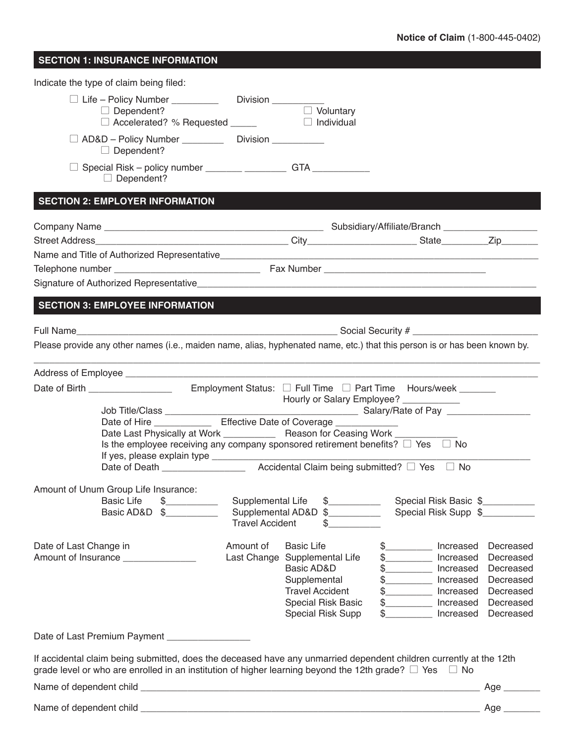## **SECTION 1: INSURANCE INFORMATION**

| □ Life - Policy Number ____________  Division _________<br>$\Box$ Voluntary<br>$\Box$ Dependent?<br>AD&D - Policy Number ____________ Division __________<br>$\Box$ Dependent?<br>□ Special Risk – policy number ________ _________ GTA ___________<br>$\Box$ Dependent?<br>SECTION 3: EMPLOYEE INFORMATION<br>Please provide any other names (i.e., maiden name, alias, hyphenated name, etc.) that this person is or has been known by.<br><u> 1989 - Johann Stoff, deutscher Stoff, der Stoff, der Stoff, der Stoff, der Stoff, der Stoff, der Stoff, der S</u><br>Hourly or Salary Employee? ___________<br>Date of Hire _______________ Effective Date of Coverage _____________<br>Date Last Physically at Work ______________ Reason for Ceasing Work ________<br>Is the employee receiving any company sponsored retirement benefits? $\Box$ Yes $\Box$ No<br>$\begin{picture}(20,20) \put(0,0){\line(1,0){10}} \put(15,0){\line(1,0){10}} \put(15,0){\line(1,0){10}} \put(15,0){\line(1,0){10}} \put(15,0){\line(1,0){10}} \put(15,0){\line(1,0){10}} \put(15,0){\line(1,0){10}} \put(15,0){\line(1,0){10}} \put(15,0){\line(1,0){10}} \put(15,0){\line(1,0){10}} \put(15,0){\line(1,0){10}} \put(15,0){\line(1$<br><b>Basic Life</b><br>Supplemental Life<br>$\frac{1}{2}$<br>Special Risk Basic \$<br>Basic AD&D<br>Supplemental AD&D \$<br>Special Risk Supp \$__________<br>$\frac{1}{2}$<br><b>Travel Accident</b><br><b>Basic Life</b><br>Date of Last Change in<br>Amount of<br>Increased<br>Decreased<br>Last Change Supplemental Life<br>\$___________ Increased<br>Decreased<br>\$___________ Increased<br>Basic AD&D<br>Decreased<br>\$___________ Increased<br>Supplemental<br>Decreased<br>\$___________ Increased<br><b>Travel Accident</b><br>Decreased<br>\$___________ Increased<br>Special Risk Basic<br>Decreased<br>Special Risk Supp<br>\$___________ Increased<br>Decreased<br>Date of Last Premium Payment ___________________<br>If accidental claim being submitted, does the deceased have any unmarried dependent children currently at the 12th<br>grade level or who are enrolled in an institution of higher learning beyond the 12th grade? $\square$ Yes $\square$ No<br>Age $\_\_$<br>Age $\_\_$ | Indicate the type of claim being filed: |  |  |
|--------------------------------------------------------------------------------------------------------------------------------------------------------------------------------------------------------------------------------------------------------------------------------------------------------------------------------------------------------------------------------------------------------------------------------------------------------------------------------------------------------------------------------------------------------------------------------------------------------------------------------------------------------------------------------------------------------------------------------------------------------------------------------------------------------------------------------------------------------------------------------------------------------------------------------------------------------------------------------------------------------------------------------------------------------------------------------------------------------------------------------------------------------------------------------------------------------------------------------------------------------------------------------------------------------------------------------------------------------------------------------------------------------------------------------------------------------------------------------------------------------------------------------------------------------------------------------------------------------------------------------------------------------------------------------------------------------------------------------------------------------------------------------------------------------------------------------------------------------------------------------------------------------------------------------------------------------------------------------------------------------------------------------------------------------------------------------------------------------------------------------------------------------------------------------------------------------------------------------------------|-----------------------------------------|--|--|
|                                                                                                                                                                                                                                                                                                                                                                                                                                                                                                                                                                                                                                                                                                                                                                                                                                                                                                                                                                                                                                                                                                                                                                                                                                                                                                                                                                                                                                                                                                                                                                                                                                                                                                                                                                                                                                                                                                                                                                                                                                                                                                                                                                                                                                            |                                         |  |  |
|                                                                                                                                                                                                                                                                                                                                                                                                                                                                                                                                                                                                                                                                                                                                                                                                                                                                                                                                                                                                                                                                                                                                                                                                                                                                                                                                                                                                                                                                                                                                                                                                                                                                                                                                                                                                                                                                                                                                                                                                                                                                                                                                                                                                                                            |                                         |  |  |
|                                                                                                                                                                                                                                                                                                                                                                                                                                                                                                                                                                                                                                                                                                                                                                                                                                                                                                                                                                                                                                                                                                                                                                                                                                                                                                                                                                                                                                                                                                                                                                                                                                                                                                                                                                                                                                                                                                                                                                                                                                                                                                                                                                                                                                            |                                         |  |  |
|                                                                                                                                                                                                                                                                                                                                                                                                                                                                                                                                                                                                                                                                                                                                                                                                                                                                                                                                                                                                                                                                                                                                                                                                                                                                                                                                                                                                                                                                                                                                                                                                                                                                                                                                                                                                                                                                                                                                                                                                                                                                                                                                                                                                                                            | <b>SECTION 2: EMPLOYER INFORMATION</b>  |  |  |
|                                                                                                                                                                                                                                                                                                                                                                                                                                                                                                                                                                                                                                                                                                                                                                                                                                                                                                                                                                                                                                                                                                                                                                                                                                                                                                                                                                                                                                                                                                                                                                                                                                                                                                                                                                                                                                                                                                                                                                                                                                                                                                                                                                                                                                            |                                         |  |  |
|                                                                                                                                                                                                                                                                                                                                                                                                                                                                                                                                                                                                                                                                                                                                                                                                                                                                                                                                                                                                                                                                                                                                                                                                                                                                                                                                                                                                                                                                                                                                                                                                                                                                                                                                                                                                                                                                                                                                                                                                                                                                                                                                                                                                                                            |                                         |  |  |
|                                                                                                                                                                                                                                                                                                                                                                                                                                                                                                                                                                                                                                                                                                                                                                                                                                                                                                                                                                                                                                                                                                                                                                                                                                                                                                                                                                                                                                                                                                                                                                                                                                                                                                                                                                                                                                                                                                                                                                                                                                                                                                                                                                                                                                            |                                         |  |  |
|                                                                                                                                                                                                                                                                                                                                                                                                                                                                                                                                                                                                                                                                                                                                                                                                                                                                                                                                                                                                                                                                                                                                                                                                                                                                                                                                                                                                                                                                                                                                                                                                                                                                                                                                                                                                                                                                                                                                                                                                                                                                                                                                                                                                                                            |                                         |  |  |
|                                                                                                                                                                                                                                                                                                                                                                                                                                                                                                                                                                                                                                                                                                                                                                                                                                                                                                                                                                                                                                                                                                                                                                                                                                                                                                                                                                                                                                                                                                                                                                                                                                                                                                                                                                                                                                                                                                                                                                                                                                                                                                                                                                                                                                            |                                         |  |  |
|                                                                                                                                                                                                                                                                                                                                                                                                                                                                                                                                                                                                                                                                                                                                                                                                                                                                                                                                                                                                                                                                                                                                                                                                                                                                                                                                                                                                                                                                                                                                                                                                                                                                                                                                                                                                                                                                                                                                                                                                                                                                                                                                                                                                                                            |                                         |  |  |
|                                                                                                                                                                                                                                                                                                                                                                                                                                                                                                                                                                                                                                                                                                                                                                                                                                                                                                                                                                                                                                                                                                                                                                                                                                                                                                                                                                                                                                                                                                                                                                                                                                                                                                                                                                                                                                                                                                                                                                                                                                                                                                                                                                                                                                            |                                         |  |  |
|                                                                                                                                                                                                                                                                                                                                                                                                                                                                                                                                                                                                                                                                                                                                                                                                                                                                                                                                                                                                                                                                                                                                                                                                                                                                                                                                                                                                                                                                                                                                                                                                                                                                                                                                                                                                                                                                                                                                                                                                                                                                                                                                                                                                                                            |                                         |  |  |
|                                                                                                                                                                                                                                                                                                                                                                                                                                                                                                                                                                                                                                                                                                                                                                                                                                                                                                                                                                                                                                                                                                                                                                                                                                                                                                                                                                                                                                                                                                                                                                                                                                                                                                                                                                                                                                                                                                                                                                                                                                                                                                                                                                                                                                            |                                         |  |  |
|                                                                                                                                                                                                                                                                                                                                                                                                                                                                                                                                                                                                                                                                                                                                                                                                                                                                                                                                                                                                                                                                                                                                                                                                                                                                                                                                                                                                                                                                                                                                                                                                                                                                                                                                                                                                                                                                                                                                                                                                                                                                                                                                                                                                                                            |                                         |  |  |
|                                                                                                                                                                                                                                                                                                                                                                                                                                                                                                                                                                                                                                                                                                                                                                                                                                                                                                                                                                                                                                                                                                                                                                                                                                                                                                                                                                                                                                                                                                                                                                                                                                                                                                                                                                                                                                                                                                                                                                                                                                                                                                                                                                                                                                            |                                         |  |  |
|                                                                                                                                                                                                                                                                                                                                                                                                                                                                                                                                                                                                                                                                                                                                                                                                                                                                                                                                                                                                                                                                                                                                                                                                                                                                                                                                                                                                                                                                                                                                                                                                                                                                                                                                                                                                                                                                                                                                                                                                                                                                                                                                                                                                                                            |                                         |  |  |
|                                                                                                                                                                                                                                                                                                                                                                                                                                                                                                                                                                                                                                                                                                                                                                                                                                                                                                                                                                                                                                                                                                                                                                                                                                                                                                                                                                                                                                                                                                                                                                                                                                                                                                                                                                                                                                                                                                                                                                                                                                                                                                                                                                                                                                            |                                         |  |  |
|                                                                                                                                                                                                                                                                                                                                                                                                                                                                                                                                                                                                                                                                                                                                                                                                                                                                                                                                                                                                                                                                                                                                                                                                                                                                                                                                                                                                                                                                                                                                                                                                                                                                                                                                                                                                                                                                                                                                                                                                                                                                                                                                                                                                                                            |                                         |  |  |
|                                                                                                                                                                                                                                                                                                                                                                                                                                                                                                                                                                                                                                                                                                                                                                                                                                                                                                                                                                                                                                                                                                                                                                                                                                                                                                                                                                                                                                                                                                                                                                                                                                                                                                                                                                                                                                                                                                                                                                                                                                                                                                                                                                                                                                            |                                         |  |  |
|                                                                                                                                                                                                                                                                                                                                                                                                                                                                                                                                                                                                                                                                                                                                                                                                                                                                                                                                                                                                                                                                                                                                                                                                                                                                                                                                                                                                                                                                                                                                                                                                                                                                                                                                                                                                                                                                                                                                                                                                                                                                                                                                                                                                                                            |                                         |  |  |
|                                                                                                                                                                                                                                                                                                                                                                                                                                                                                                                                                                                                                                                                                                                                                                                                                                                                                                                                                                                                                                                                                                                                                                                                                                                                                                                                                                                                                                                                                                                                                                                                                                                                                                                                                                                                                                                                                                                                                                                                                                                                                                                                                                                                                                            |                                         |  |  |
|                                                                                                                                                                                                                                                                                                                                                                                                                                                                                                                                                                                                                                                                                                                                                                                                                                                                                                                                                                                                                                                                                                                                                                                                                                                                                                                                                                                                                                                                                                                                                                                                                                                                                                                                                                                                                                                                                                                                                                                                                                                                                                                                                                                                                                            | Amount of Unum Group Life Insurance:    |  |  |
|                                                                                                                                                                                                                                                                                                                                                                                                                                                                                                                                                                                                                                                                                                                                                                                                                                                                                                                                                                                                                                                                                                                                                                                                                                                                                                                                                                                                                                                                                                                                                                                                                                                                                                                                                                                                                                                                                                                                                                                                                                                                                                                                                                                                                                            |                                         |  |  |
|                                                                                                                                                                                                                                                                                                                                                                                                                                                                                                                                                                                                                                                                                                                                                                                                                                                                                                                                                                                                                                                                                                                                                                                                                                                                                                                                                                                                                                                                                                                                                                                                                                                                                                                                                                                                                                                                                                                                                                                                                                                                                                                                                                                                                                            |                                         |  |  |
|                                                                                                                                                                                                                                                                                                                                                                                                                                                                                                                                                                                                                                                                                                                                                                                                                                                                                                                                                                                                                                                                                                                                                                                                                                                                                                                                                                                                                                                                                                                                                                                                                                                                                                                                                                                                                                                                                                                                                                                                                                                                                                                                                                                                                                            |                                         |  |  |
|                                                                                                                                                                                                                                                                                                                                                                                                                                                                                                                                                                                                                                                                                                                                                                                                                                                                                                                                                                                                                                                                                                                                                                                                                                                                                                                                                                                                                                                                                                                                                                                                                                                                                                                                                                                                                                                                                                                                                                                                                                                                                                                                                                                                                                            |                                         |  |  |
|                                                                                                                                                                                                                                                                                                                                                                                                                                                                                                                                                                                                                                                                                                                                                                                                                                                                                                                                                                                                                                                                                                                                                                                                                                                                                                                                                                                                                                                                                                                                                                                                                                                                                                                                                                                                                                                                                                                                                                                                                                                                                                                                                                                                                                            | Amount of Insurance ______________      |  |  |
|                                                                                                                                                                                                                                                                                                                                                                                                                                                                                                                                                                                                                                                                                                                                                                                                                                                                                                                                                                                                                                                                                                                                                                                                                                                                                                                                                                                                                                                                                                                                                                                                                                                                                                                                                                                                                                                                                                                                                                                                                                                                                                                                                                                                                                            |                                         |  |  |
|                                                                                                                                                                                                                                                                                                                                                                                                                                                                                                                                                                                                                                                                                                                                                                                                                                                                                                                                                                                                                                                                                                                                                                                                                                                                                                                                                                                                                                                                                                                                                                                                                                                                                                                                                                                                                                                                                                                                                                                                                                                                                                                                                                                                                                            |                                         |  |  |
|                                                                                                                                                                                                                                                                                                                                                                                                                                                                                                                                                                                                                                                                                                                                                                                                                                                                                                                                                                                                                                                                                                                                                                                                                                                                                                                                                                                                                                                                                                                                                                                                                                                                                                                                                                                                                                                                                                                                                                                                                                                                                                                                                                                                                                            |                                         |  |  |
|                                                                                                                                                                                                                                                                                                                                                                                                                                                                                                                                                                                                                                                                                                                                                                                                                                                                                                                                                                                                                                                                                                                                                                                                                                                                                                                                                                                                                                                                                                                                                                                                                                                                                                                                                                                                                                                                                                                                                                                                                                                                                                                                                                                                                                            |                                         |  |  |
|                                                                                                                                                                                                                                                                                                                                                                                                                                                                                                                                                                                                                                                                                                                                                                                                                                                                                                                                                                                                                                                                                                                                                                                                                                                                                                                                                                                                                                                                                                                                                                                                                                                                                                                                                                                                                                                                                                                                                                                                                                                                                                                                                                                                                                            |                                         |  |  |
|                                                                                                                                                                                                                                                                                                                                                                                                                                                                                                                                                                                                                                                                                                                                                                                                                                                                                                                                                                                                                                                                                                                                                                                                                                                                                                                                                                                                                                                                                                                                                                                                                                                                                                                                                                                                                                                                                                                                                                                                                                                                                                                                                                                                                                            |                                         |  |  |
|                                                                                                                                                                                                                                                                                                                                                                                                                                                                                                                                                                                                                                                                                                                                                                                                                                                                                                                                                                                                                                                                                                                                                                                                                                                                                                                                                                                                                                                                                                                                                                                                                                                                                                                                                                                                                                                                                                                                                                                                                                                                                                                                                                                                                                            |                                         |  |  |
|                                                                                                                                                                                                                                                                                                                                                                                                                                                                                                                                                                                                                                                                                                                                                                                                                                                                                                                                                                                                                                                                                                                                                                                                                                                                                                                                                                                                                                                                                                                                                                                                                                                                                                                                                                                                                                                                                                                                                                                                                                                                                                                                                                                                                                            |                                         |  |  |
|                                                                                                                                                                                                                                                                                                                                                                                                                                                                                                                                                                                                                                                                                                                                                                                                                                                                                                                                                                                                                                                                                                                                                                                                                                                                                                                                                                                                                                                                                                                                                                                                                                                                                                                                                                                                                                                                                                                                                                                                                                                                                                                                                                                                                                            |                                         |  |  |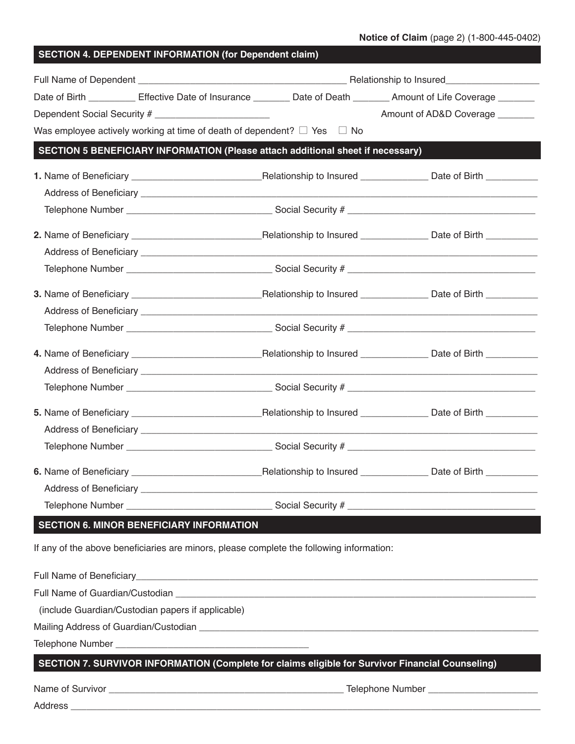|                                                                                          |  |  | Date of Birth _________ Effective Date of Insurance _______ Date of Death ______ Amount of Life Coverage ______ |  |
|------------------------------------------------------------------------------------------|--|--|-----------------------------------------------------------------------------------------------------------------|--|
| Dependent Social Security # __________________________                                   |  |  | Amount of AD&D Coverage _______                                                                                 |  |
| Was employee actively working at time of death of dependent? $\Box$ Yes $\Box$ No        |  |  |                                                                                                                 |  |
| SECTION 5 BENEFICIARY INFORMATION (Please attach additional sheet if necessary)          |  |  |                                                                                                                 |  |
|                                                                                          |  |  |                                                                                                                 |  |
|                                                                                          |  |  |                                                                                                                 |  |
|                                                                                          |  |  |                                                                                                                 |  |
|                                                                                          |  |  |                                                                                                                 |  |
|                                                                                          |  |  |                                                                                                                 |  |
|                                                                                          |  |  |                                                                                                                 |  |
|                                                                                          |  |  |                                                                                                                 |  |
|                                                                                          |  |  |                                                                                                                 |  |
|                                                                                          |  |  |                                                                                                                 |  |
|                                                                                          |  |  |                                                                                                                 |  |
|                                                                                          |  |  |                                                                                                                 |  |
|                                                                                          |  |  |                                                                                                                 |  |
|                                                                                          |  |  |                                                                                                                 |  |
|                                                                                          |  |  |                                                                                                                 |  |
|                                                                                          |  |  |                                                                                                                 |  |
|                                                                                          |  |  |                                                                                                                 |  |
|                                                                                          |  |  |                                                                                                                 |  |
|                                                                                          |  |  |                                                                                                                 |  |
| <b>SECTION 6. MINOR BENEFICIARY INFORMATION</b>                                          |  |  |                                                                                                                 |  |
| If any of the above beneficiaries are minors, please complete the following information: |  |  |                                                                                                                 |  |
|                                                                                          |  |  |                                                                                                                 |  |
|                                                                                          |  |  |                                                                                                                 |  |
| (include Guardian/Custodian papers if applicable)                                        |  |  |                                                                                                                 |  |
|                                                                                          |  |  |                                                                                                                 |  |
|                                                                                          |  |  |                                                                                                                 |  |
|                                                                                          |  |  | SECTION 7. SURVIVOR INFORMATION (Complete for claims eligible for Survivor Financial Counseling)                |  |
|                                                                                          |  |  |                                                                                                                 |  |
|                                                                                          |  |  |                                                                                                                 |  |

**SECTION 4. DEPENDENT INFORMATION (for Dependent claim)**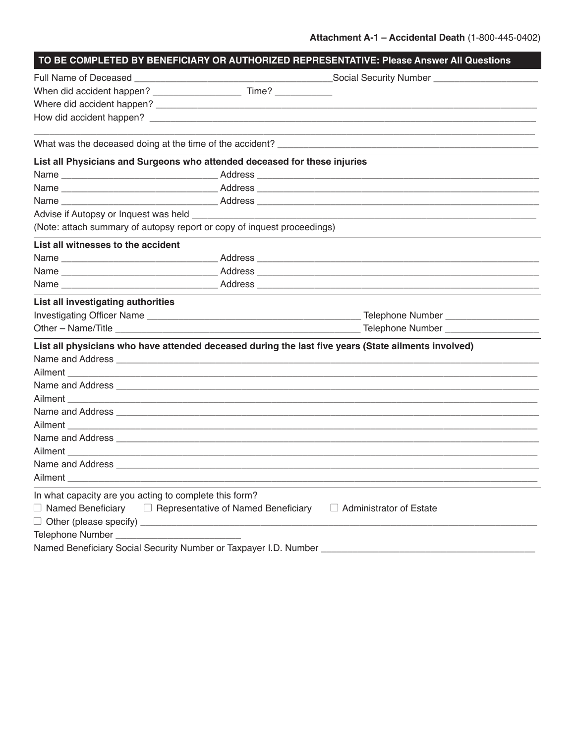|                                                                           | TO BE COMPLETED BY BENEFICIARY OR AUTHORIZED REPRESENTATIVE: Please Answer All Questions                                                                                                                                      |
|---------------------------------------------------------------------------|-------------------------------------------------------------------------------------------------------------------------------------------------------------------------------------------------------------------------------|
|                                                                           |                                                                                                                                                                                                                               |
|                                                                           |                                                                                                                                                                                                                               |
|                                                                           |                                                                                                                                                                                                                               |
|                                                                           |                                                                                                                                                                                                                               |
|                                                                           |                                                                                                                                                                                                                               |
| List all Physicians and Surgeons who attended deceased for these injuries |                                                                                                                                                                                                                               |
|                                                                           |                                                                                                                                                                                                                               |
|                                                                           |                                                                                                                                                                                                                               |
|                                                                           |                                                                                                                                                                                                                               |
|                                                                           |                                                                                                                                                                                                                               |
| (Note: attach summary of autopsy report or copy of inquest proceedings)   |                                                                                                                                                                                                                               |
| List all witnesses to the accident                                        |                                                                                                                                                                                                                               |
|                                                                           |                                                                                                                                                                                                                               |
|                                                                           |                                                                                                                                                                                                                               |
|                                                                           |                                                                                                                                                                                                                               |
| List all investigating authorities                                        |                                                                                                                                                                                                                               |
|                                                                           |                                                                                                                                                                                                                               |
|                                                                           |                                                                                                                                                                                                                               |
|                                                                           | List all physicians who have attended deceased during the last five years (State ailments involved)                                                                                                                           |
|                                                                           |                                                                                                                                                                                                                               |
|                                                                           |                                                                                                                                                                                                                               |
|                                                                           |                                                                                                                                                                                                                               |
|                                                                           |                                                                                                                                                                                                                               |
|                                                                           |                                                                                                                                                                                                                               |
|                                                                           | Ailment Learner and Ailment Learner and Aircraft and Aircraft and Aircraft and Aircraft and Aircraft and Aircraft and Aircraft and Aircraft and Aircraft and Aircraft and Aircraft and Aircraft and Aircraft and Aircraft and |
|                                                                           |                                                                                                                                                                                                                               |
|                                                                           |                                                                                                                                                                                                                               |
|                                                                           |                                                                                                                                                                                                                               |
|                                                                           |                                                                                                                                                                                                                               |
| In what capacity are you acting to complete this form?                    |                                                                                                                                                                                                                               |
| $\Box$ Named Beneficiary $\Box$ Representative of Named Beneficiary       | $\Box$ Administrator of Estate                                                                                                                                                                                                |
|                                                                           |                                                                                                                                                                                                                               |
|                                                                           |                                                                                                                                                                                                                               |
|                                                                           |                                                                                                                                                                                                                               |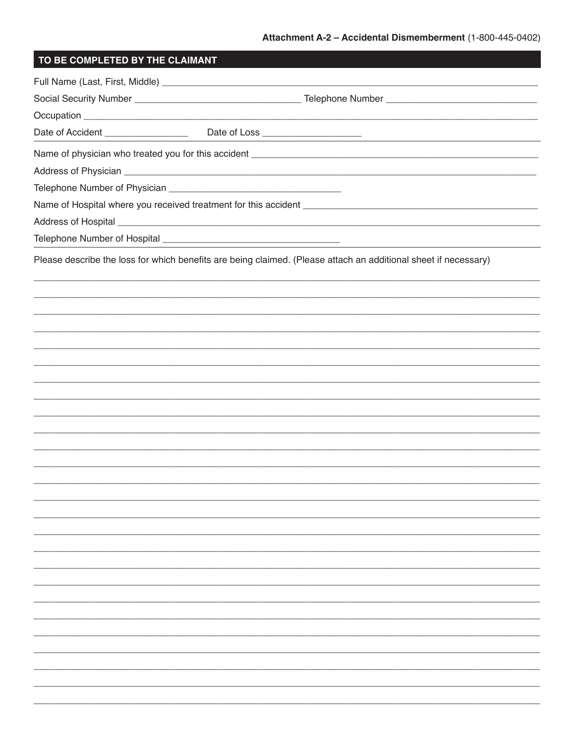| TO BE COMPLETED BY THE CLAIMANT |                                                                                                                 |
|---------------------------------|-----------------------------------------------------------------------------------------------------------------|
|                                 |                                                                                                                 |
|                                 |                                                                                                                 |
|                                 |                                                                                                                 |
|                                 |                                                                                                                 |
|                                 |                                                                                                                 |
|                                 |                                                                                                                 |
|                                 |                                                                                                                 |
|                                 |                                                                                                                 |
|                                 |                                                                                                                 |
|                                 |                                                                                                                 |
|                                 | Please describe the loss for which benefits are being claimed. (Please attach an additional sheet if necessary) |
|                                 |                                                                                                                 |
|                                 |                                                                                                                 |
|                                 |                                                                                                                 |
|                                 |                                                                                                                 |
|                                 |                                                                                                                 |
|                                 |                                                                                                                 |
|                                 |                                                                                                                 |
|                                 |                                                                                                                 |
|                                 |                                                                                                                 |
|                                 |                                                                                                                 |
|                                 |                                                                                                                 |
|                                 |                                                                                                                 |
|                                 |                                                                                                                 |
|                                 |                                                                                                                 |
|                                 |                                                                                                                 |
|                                 |                                                                                                                 |
|                                 |                                                                                                                 |
|                                 |                                                                                                                 |
|                                 |                                                                                                                 |
|                                 |                                                                                                                 |
|                                 |                                                                                                                 |
|                                 |                                                                                                                 |
|                                 |                                                                                                                 |
|                                 |                                                                                                                 |
|                                 |                                                                                                                 |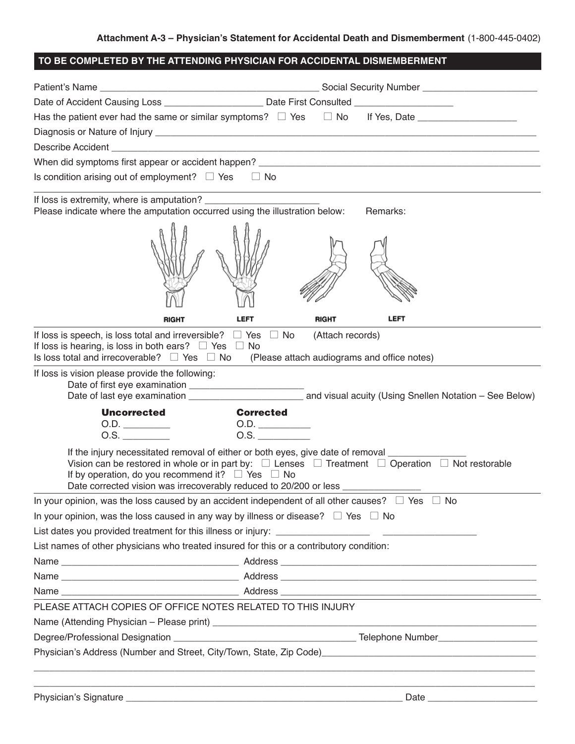| TO BE COMPLETED BY THE ATTENDING PHYSICIAN FOR ACCIDENTAL DISMEMBERMENT                                                                                                                                                                                                                                                                                                           |                                                                                                      |                  |                                                                                                                                                                                                                                           |  |
|-----------------------------------------------------------------------------------------------------------------------------------------------------------------------------------------------------------------------------------------------------------------------------------------------------------------------------------------------------------------------------------|------------------------------------------------------------------------------------------------------|------------------|-------------------------------------------------------------------------------------------------------------------------------------------------------------------------------------------------------------------------------------------|--|
|                                                                                                                                                                                                                                                                                                                                                                                   |                                                                                                      |                  |                                                                                                                                                                                                                                           |  |
|                                                                                                                                                                                                                                                                                                                                                                                   | Date of Accident Causing Loss ___________________________ Date First Consulted _____________________ |                  |                                                                                                                                                                                                                                           |  |
|                                                                                                                                                                                                                                                                                                                                                                                   |                                                                                                      |                  |                                                                                                                                                                                                                                           |  |
|                                                                                                                                                                                                                                                                                                                                                                                   |                                                                                                      |                  |                                                                                                                                                                                                                                           |  |
| Describe Accident <b>Learn Communication</b> and a control of the Accident Communication and a control of the Accident                                                                                                                                                                                                                                                            |                                                                                                      |                  |                                                                                                                                                                                                                                           |  |
|                                                                                                                                                                                                                                                                                                                                                                                   |                                                                                                      |                  |                                                                                                                                                                                                                                           |  |
| Is condition arising out of employment? $\Box$ Yes                                                                                                                                                                                                                                                                                                                                | $\Box$ No                                                                                            |                  |                                                                                                                                                                                                                                           |  |
| Please indicate where the amputation occurred using the illustration below:                                                                                                                                                                                                                                                                                                       |                                                                                                      |                  | the control of the control of the control of the control of the control of the control of the control of the control of the control of the control of the control of the control of the control of the control of the control<br>Remarks: |  |
|                                                                                                                                                                                                                                                                                                                                                                                   |                                                                                                      |                  |                                                                                                                                                                                                                                           |  |
| <b>RIGHT</b>                                                                                                                                                                                                                                                                                                                                                                      | <b>LEFT</b>                                                                                          | RIGHT            | LEFT                                                                                                                                                                                                                                      |  |
| If loss is speech, is loss total and irreversible? $\Box$ Yes $\Box$ No<br>If loss is hearing, is loss in both ears? $\Box$ Yes $\Box$ No<br>Is loss total and irrecoverable? $\Box$ Yes $\Box$ No                                                                                                                                                                                |                                                                                                      | (Attach records) | (Please attach audiograms and office notes)                                                                                                                                                                                               |  |
| If loss is vision please provide the following:                                                                                                                                                                                                                                                                                                                                   |                                                                                                      |                  |                                                                                                                                                                                                                                           |  |
| <b>Uncorrected</b>                                                                                                                                                                                                                                                                                                                                                                | <b>Corrected</b>                                                                                     |                  |                                                                                                                                                                                                                                           |  |
| 0.D.                                                                                                                                                                                                                                                                                                                                                                              | 0.D.                                                                                                 |                  |                                                                                                                                                                                                                                           |  |
| $0.5.$ $\qquad \qquad$                                                                                                                                                                                                                                                                                                                                                            | O.S.                                                                                                 |                  |                                                                                                                                                                                                                                           |  |
| If the injury necessitated removal of either or both eyes, give date of removal _____<br>Vision can be restored in whole or in part by: $\square$ Lenses $\square$ Treatment $\square$ Operation $\square$ Not restorable<br>If by operation, do you recommend it? $\square$ Yes $\square$ No<br>Date corrected vision was irrecoverably reduced to 20/200 or less ______________ |                                                                                                      |                  |                                                                                                                                                                                                                                           |  |
| In your opinion, was the loss caused by an accident independent of all other causes? $\Box$ Yes $\Box$ No                                                                                                                                                                                                                                                                         |                                                                                                      |                  |                                                                                                                                                                                                                                           |  |
| In your opinion, was the loss caused in any way by illness or disease? $\square$ Yes $\square$ No                                                                                                                                                                                                                                                                                 |                                                                                                      |                  |                                                                                                                                                                                                                                           |  |
|                                                                                                                                                                                                                                                                                                                                                                                   |                                                                                                      |                  |                                                                                                                                                                                                                                           |  |
| List names of other physicians who treated insured for this or a contributory condition:                                                                                                                                                                                                                                                                                          |                                                                                                      |                  |                                                                                                                                                                                                                                           |  |
|                                                                                                                                                                                                                                                                                                                                                                                   |                                                                                                      |                  |                                                                                                                                                                                                                                           |  |
|                                                                                                                                                                                                                                                                                                                                                                                   |                                                                                                      |                  |                                                                                                                                                                                                                                           |  |
|                                                                                                                                                                                                                                                                                                                                                                                   |                                                                                                      |                  |                                                                                                                                                                                                                                           |  |
| PLEASE ATTACH COPIES OF OFFICE NOTES RELATED TO THIS INJURY                                                                                                                                                                                                                                                                                                                       |                                                                                                      |                  |                                                                                                                                                                                                                                           |  |
|                                                                                                                                                                                                                                                                                                                                                                                   |                                                                                                      |                  |                                                                                                                                                                                                                                           |  |
|                                                                                                                                                                                                                                                                                                                                                                                   |                                                                                                      |                  |                                                                                                                                                                                                                                           |  |
| Physician's Address (Number and Street, City/Town, State, Zip Code) [19] The Commonwere Content of the Content                                                                                                                                                                                                                                                                    |                                                                                                      |                  |                                                                                                                                                                                                                                           |  |
|                                                                                                                                                                                                                                                                                                                                                                                   |                                                                                                      |                  |                                                                                                                                                                                                                                           |  |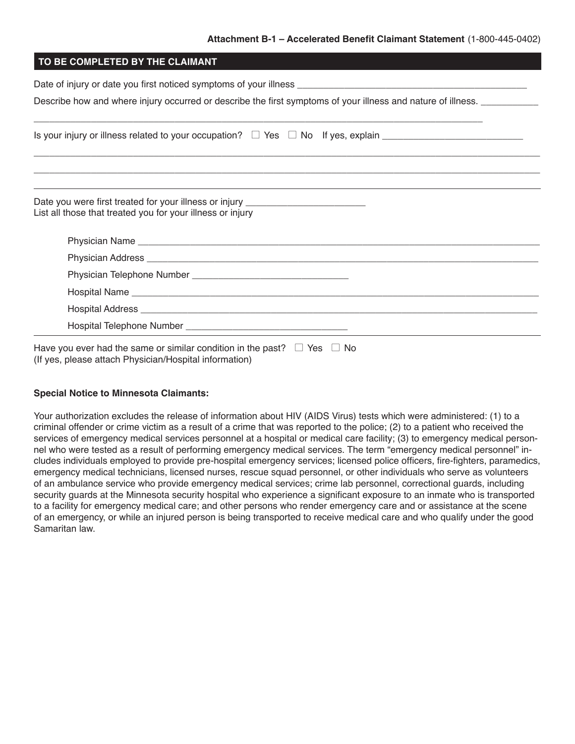### **Attachment B-1 – Accelerated Benefit Claimant Statement** (1-800-445-0402)

| Describe how and where injury occurred or describe the first symptoms of your illness and nature of illness.                                                                                                                         |
|--------------------------------------------------------------------------------------------------------------------------------------------------------------------------------------------------------------------------------------|
|                                                                                                                                                                                                                                      |
|                                                                                                                                                                                                                                      |
|                                                                                                                                                                                                                                      |
| Date you were first treated for your illness or injury _________________________<br>List all those that treated you for your illness or injury                                                                                       |
|                                                                                                                                                                                                                                      |
| Physician Address <b>Lawrence and Contract Contract and Contract Contract Contract Contract Contract Contract Contract Contract Contract Contract Contract Contract Contract Contract Contract Contract Contract Contract Contra</b> |
|                                                                                                                                                                                                                                      |
|                                                                                                                                                                                                                                      |

Have you ever had the same or similar condition in the past?  $\;\;\sqcup\;$  Yes  $\;\;\sqcup\;$  No (If yes, please attach Physician/Hospital information)

### **Special Notice to Minnesota Claimants:**

Your authorization excludes the release of information about HIV (AIDS Virus) tests which were administered: (1) to a criminal offender or crime victim as a result of a crime that was reported to the police; (2) to a patient who received the services of emergency medical services personnel at a hospital or medical care facility; (3) to emergency medical personnel who were tested as a result of performing emergency medical services. The term "emergency medical personnel" includes individuals employed to provide pre-hospital emergency services; licensed police officers, fire-fighters, paramedics, emergency medical technicians, licensed nurses, rescue squad personnel, or other individuals who serve as volunteers of an ambulance service who provide emergency medical services; crime lab personnel, correctional guards, including security guards at the Minnesota security hospital who experience a significant exposure to an inmate who is transported to a facility for emergency medical care; and other persons who render emergency care and or assistance at the scene of an emergency, or while an injured person is being transported to receive medical care and who qualify under the good Samaritan law.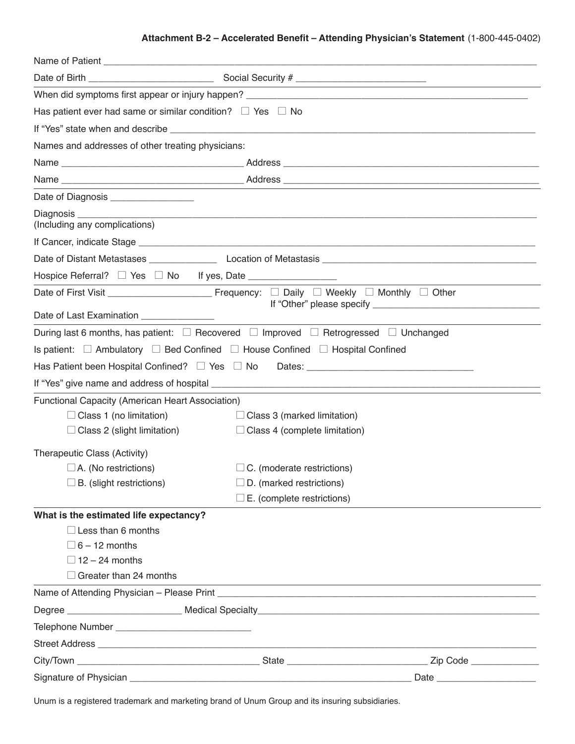## **Attachment B-2 – Accelerated Benefit – Attending Physician's Statement** (1-800-445-0402)

| Has patient ever had same or similar condition? $\Box$ Yes $\Box$ No |                                                                                                          |          |
|----------------------------------------------------------------------|----------------------------------------------------------------------------------------------------------|----------|
|                                                                      |                                                                                                          |          |
| Names and addresses of other treating physicians:                    |                                                                                                          |          |
|                                                                      |                                                                                                          |          |
|                                                                      |                                                                                                          |          |
| Date of Diagnosis _________________                                  |                                                                                                          |          |
| (Including any complications)                                        |                                                                                                          |          |
|                                                                      |                                                                                                          |          |
|                                                                      |                                                                                                          |          |
|                                                                      |                                                                                                          |          |
|                                                                      |                                                                                                          |          |
| Date of Last Examination _______________                             |                                                                                                          |          |
|                                                                      | During last 6 months, has patient: $\Box$ Recovered $\Box$ Improved $\Box$ Retrogressed $\Box$ Unchanged |          |
|                                                                      | Is patient: $\Box$ Ambulatory $\Box$ Bed Confined $\Box$ House Confined $\Box$ Hospital Confined         |          |
|                                                                      |                                                                                                          |          |
|                                                                      |                                                                                                          |          |
| Functional Capacity (American Heart Association)                     |                                                                                                          |          |
| $\Box$ Class 1 (no limitation)                                       | $\Box$ Class 3 (marked limitation)                                                                       |          |
| $\Box$ Class 2 (slight limitation)                                   | $\Box$ Class 4 (complete limitation)                                                                     |          |
| Therapeutic Class (Activity)                                         |                                                                                                          |          |
| $\Box$ A. (No restrictions)                                          | $\Box$ C. (moderate restrictions)                                                                        |          |
| B. (slight restrictions)                                             | D. (marked restrictions)                                                                                 |          |
|                                                                      | $\square$ E. (complete restrictions)                                                                     |          |
| What is the estimated life expectancy?                               |                                                                                                          |          |
| $\Box$ Less than 6 months                                            |                                                                                                          |          |
| $\Box$ 6 – 12 months                                                 |                                                                                                          |          |
| $\Box$ 12 – 24 months                                                |                                                                                                          |          |
| $\Box$ Greater than 24 months                                        | <u> 1989 - Johann Stoff, amerikansk politiker (d. 1989)</u>                                              |          |
|                                                                      |                                                                                                          |          |
|                                                                      |                                                                                                          |          |
|                                                                      |                                                                                                          |          |
|                                                                      |                                                                                                          |          |
|                                                                      |                                                                                                          | Zip Code |
|                                                                      |                                                                                                          |          |

Unum is a registered trademark and marketing brand of Unum Group and its insuring subsidiaries.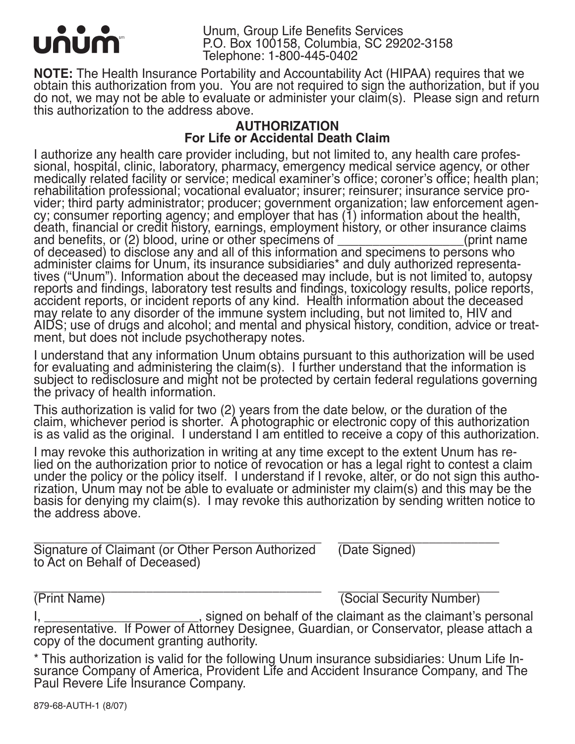

**NOTE:** The Health Insurance Portability and Accountability Act (HIPAA) requires that we obtain this authorization from you. You are not required to sign the authorization, but if you do not, we may not be able to evaluate or administer your claim(s). Please sign and return this authorization to the address above.

# **AUTHORIZATION For Life or Accidental Death Claim**

I authorize any health care provider including, but not limited to, any health care profes- sional, hospital, clinic, laboratory, pharmacy, emergency medical service agency, or other medically related facility or service; medical examiner's office; coroner's office; health plan;<br>rehabilitation professional; vocational evaluator; insurer; reinsurer; insurance service provider; third party administrator; producer; government organization; law enforcement agen-cy; consumer reporting agency; and employer that has (1) information about the health, death, financial or credit history, earnings, employment history, or other insurance claims and benefits, or (2) blood, urine or other specimens of \_\_\_\_\_\_\_\_\_\_\_\_\_\_\_\_\_\_(print name of deceased) to disclose any and all of this information and specimens to persons who administer claims for Unum, its insurance subsidiaries\* and duly authorized representatives ("Unum"). Information about the deceased may include, but is not limited to, autopsy reports and findings, laboratory test results and findings, toxicology results, police reports, accident reports, or incident reports of any kind. Health information about the deceased may relate to any disorder of the immune system including, but not limited to, HIV and AIDS; use of drugs and alcohol; and mental and physical history, condition, advice or treat- ment, but does not include psychotherapy notes.

I understand that any information Unum obtains pursuant to this authorization will be used for evaluating and administering the claim(s). I further understand that the information is subject to redisclosure and might not be protected by certain federal regulations governing the privacy of health information.

This authorization is valid for two (2) years from the date below, or the duration of the claim, whichever period is shorter. A photographic or electronic copy of this authorization is as valid as the original. I understand I am entitled to receive a copy of this authorization.

I may revoke this authorization in writing at any time except to the extent Unum has re-<br>lied on the authorization prior to notice of revocation or has a legal right to contest a claim<br>under the policy or the policy itself rization, Unum may not be able to evaluate or administer my claim(s) and this may be the basis for denying my claim(s). I may revoke this authorization by sending written notice to the address above.

Signature of Claimant (or Other Person Authorized (Date Signed) to Act on Behalf of Deceased)

\_\_\_\_\_\_\_\_\_\_\_\_\_\_\_\_\_\_\_\_\_\_\_\_\_\_\_\_\_\_\_\_\_\_\_\_\_\_\_\_\_ \_\_\_\_\_\_\_\_\_\_\_\_\_\_\_\_\_\_\_\_\_\_\_ (Print Name) (Social Security Number)

I, \_\_\_\_\_\_\_\_\_\_\_\_\_\_\_\_\_\_\_\_\_\_\_, signed on behalf of the claimant as the claimant's personal representative. If Power of Attorney Designee, Guardian, or Conservator, please attach a copy of the document granting authority.

\* This authorization is valid for the following Unum insurance subsidiaries: Unum Life In-<br>surance Company of America, Provident Life and Accident Insurance Company, and The Paul Revere Life Insurance Company.

879-68-AUTH-1 (8/07)